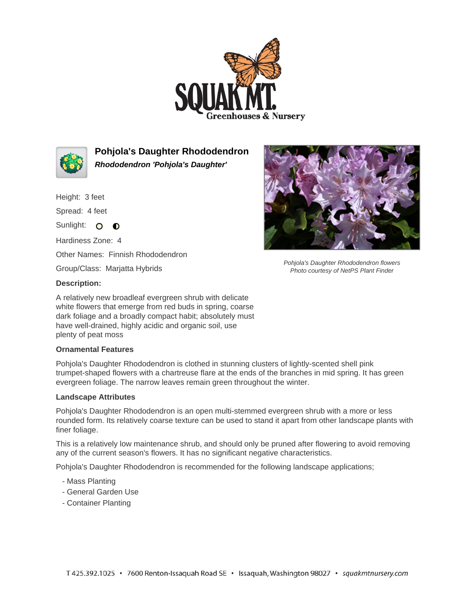



**Pohjola's Daughter Rhododendron Rhododendron 'Pohjola's Daughter'**

Height: 3 feet

Spread: 4 feet

Sunlight: O **O** 

Hardiness Zone: 4

Other Names: Finnish Rhododendron

Group/Class: Marjatta Hybrids

## **Description:**

A relatively new broadleaf evergreen shrub with delicate white flowers that emerge from red buds in spring, coarse dark foliage and a broadly compact habit; absolutely must have well-drained, highly acidic and organic soil, use plenty of peat moss

## **Ornamental Features**

Pohjola's Daughter Rhododendron is clothed in stunning clusters of lightly-scented shell pink trumpet-shaped flowers with a chartreuse flare at the ends of the branches in mid spring. It has green evergreen foliage. The narrow leaves remain green throughout the winter.

## **Landscape Attributes**

Pohjola's Daughter Rhododendron is an open multi-stemmed evergreen shrub with a more or less rounded form. Its relatively coarse texture can be used to stand it apart from other landscape plants with finer foliage.

This is a relatively low maintenance shrub, and should only be pruned after flowering to avoid removing any of the current season's flowers. It has no significant negative characteristics.

Pohjola's Daughter Rhododendron is recommended for the following landscape applications;

- Mass Planting
- General Garden Use
- Container Planting



Pohjola's Daughter Rhododendron flowers Photo courtesy of NetPS Plant Finder